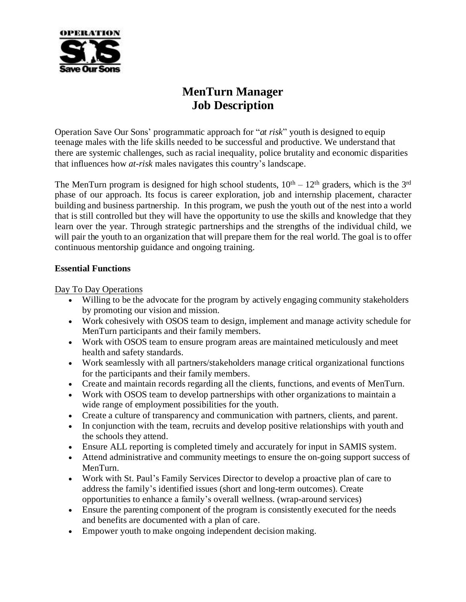

# **MenTurn Manager Job Description**

Operation Save Our Sons' programmatic approach for "*at risk*" youth is designed to equip teenage males with the life skills needed to be successful and productive. We understand that there are systemic challenges, such as racial inequality, police brutality and economic disparities that influences how *at-risk* males navigates this country's landscape.

The MenTurn program is designed for high school students,  $10<sup>th</sup> - 12<sup>th</sup>$  graders, which is the 3<sup>rd</sup> phase of our approach. Its focus is career exploration, job and internship placement, character building and business partnership. In this program, we push the youth out of the nest into a world that is still controlled but they will have the opportunity to use the skills and knowledge that they learn over the year. Through strategic partnerships and the strengths of the individual child, we will pair the youth to an organization that will prepare them for the real world. The goal is to offer continuous mentorship guidance and ongoing training.

#### **Essential Functions**

Day To Day Operations

- Willing to be the advocate for the program by actively engaging community stakeholders by promoting our vision and mission.
- Work cohesively with OSOS team to design, implement and manage activity schedule for MenTurn participants and their family members.
- Work with OSOS team to ensure program areas are maintained meticulously and meet health and safety standards.
- Work seamlessly with all partners/stakeholders manage critical organizational functions for the participants and their family members.
- Create and maintain records regarding all the clients, functions, and events of MenTurn.
- Work with OSOS team to develop partnerships with other organizations to maintain a wide range of employment possibilities for the youth.
- Create a culture of transparency and communication with partners, clients, and parent.
- In conjunction with the team, recruits and develop positive relationships with youth and the schools they attend.
- Ensure ALL reporting is completed timely and accurately for input in SAMIS system.
- Attend administrative and community meetings to ensure the on-going support success of MenTurn.
- Work with St. Paul's Family Services Director to develop a proactive plan of care to address the family's identified issues (short and long-term outcomes). Create opportunities to enhance a family's overall wellness. (wrap-around services)
- Ensure the parenting component of the program is consistently executed for the needs and benefits are documented with a plan of care.
- Empower youth to make ongoing independent decision making.